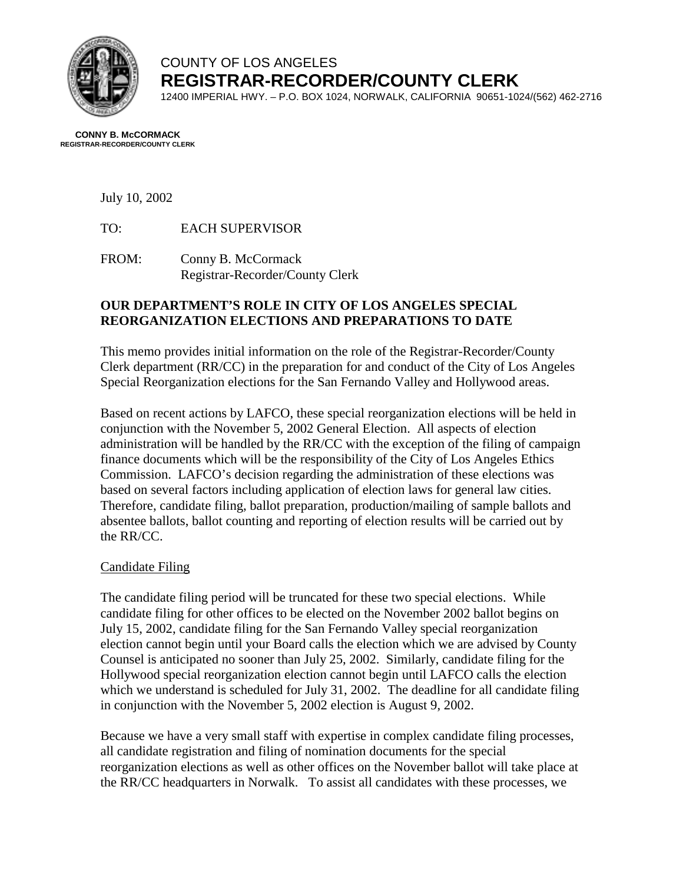

# COUNTY OF LOS ANGELES **REGISTRAR-RECORDER/COUNTY CLERK**

12400 IMPERIAL HWY. – P.O. BOX 1024, NORWALK, CALIFORNIA 90651-1024/(562) 462-2716

#### **CONNY B. McCORMACK REGISTRAR-RECORDER/COUNTY CLERK**

July 10, 2002

TO: EACH SUPERVISOR

FROM: Conny B. McCormack Registrar-Recorder/County Clerk

## **OUR DEPARTMENT'S ROLE IN CITY OF LOS ANGELES SPECIAL REORGANIZATION ELECTIONS AND PREPARATIONS TO DATE**

This memo provides initial information on the role of the Registrar-Recorder/County Clerk department (RR/CC) in the preparation for and conduct of the City of Los Angeles Special Reorganization elections for the San Fernando Valley and Hollywood areas.

Based on recent actions by LAFCO, these special reorganization elections will be held in conjunction with the November 5, 2002 General Election. All aspects of election administration will be handled by the RR/CC with the exception of the filing of campaign finance documents which will be the responsibility of the City of Los Angeles Ethics Commission. LAFCO's decision regarding the administration of these elections was based on several factors including application of election laws for general law cities. Therefore, candidate filing, ballot preparation, production/mailing of sample ballots and absentee ballots, ballot counting and reporting of election results will be carried out by the RR/CC.

### Candidate Filing

The candidate filing period will be truncated for these two special elections. While candidate filing for other offices to be elected on the November 2002 ballot begins on July 15, 2002, candidate filing for the San Fernando Valley special reorganization election cannot begin until your Board calls the election which we are advised by County Counsel is anticipated no sooner than July 25, 2002. Similarly, candidate filing for the Hollywood special reorganization election cannot begin until LAFCO calls the election which we understand is scheduled for July 31, 2002. The deadline for all candidate filing in conjunction with the November 5, 2002 election is August 9, 2002.

Because we have a very small staff with expertise in complex candidate filing processes, all candidate registration and filing of nomination documents for the special reorganization elections as well as other offices on the November ballot will take place at the RR/CC headquarters in Norwalk. To assist all candidates with these processes, we